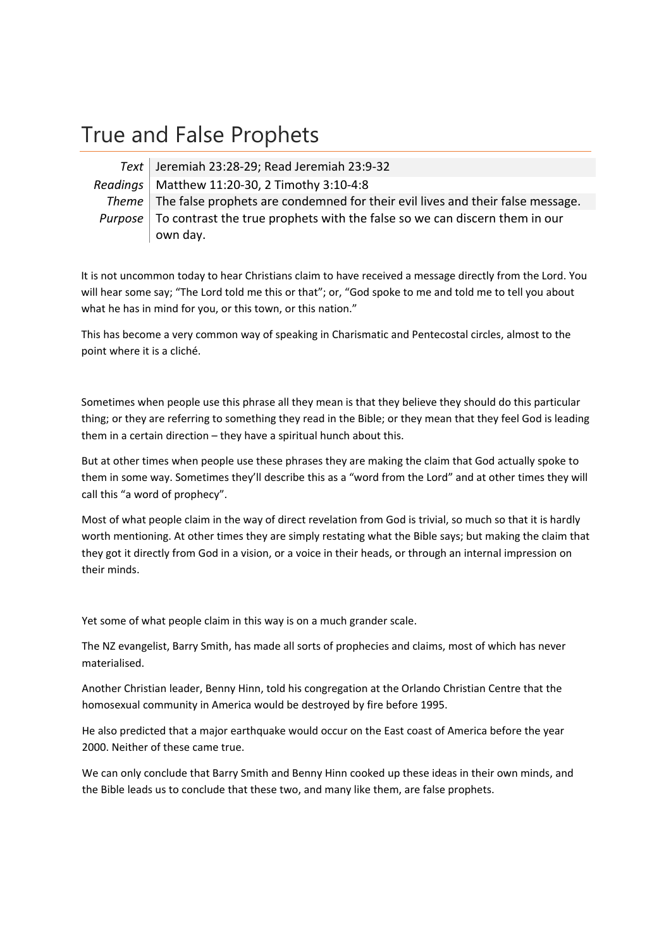# True and False Prophets

*Text* Jeremiah 23:28‐29; Read Jeremiah 23:9‐32 *Readings* Matthew 11:20‐30, 2 Timothy 3:10‐4:8 *Theme* The false prophets are condemned for their evil lives and their false message. *Purpose* To contrast the true prophets with the false so we can discern them in our own day.

It is not uncommon today to hear Christians claim to have received a message directly from the Lord. You will hear some say; "The Lord told me this or that"; or, "God spoke to me and told me to tell you about what he has in mind for you, or this town, or this nation."

This has become a very common way of speaking in Charismatic and Pentecostal circles, almost to the point where it is a cliché.

Sometimes when people use this phrase all they mean is that they believe they should do this particular thing; or they are referring to something they read in the Bible; or they mean that they feel God is leading them in a certain direction – they have a spiritual hunch about this.

But at other times when people use these phrases they are making the claim that God actually spoke to them in some way. Sometimes they'll describe this as a "word from the Lord" and at other times they will call this "a word of prophecy".

Most of what people claim in the way of direct revelation from God is trivial, so much so that it is hardly worth mentioning. At other times they are simply restating what the Bible says; but making the claim that they got it directly from God in a vision, or a voice in their heads, or through an internal impression on their minds.

Yet some of what people claim in this way is on a much grander scale.

The NZ evangelist, Barry Smith, has made all sorts of prophecies and claims, most of which has never materialised.

Another Christian leader, Benny Hinn, told his congregation at the Orlando Christian Centre that the homosexual community in America would be destroyed by fire before 1995.

He also predicted that a major earthquake would occur on the East coast of America before the year 2000. Neither of these came true.

We can only conclude that Barry Smith and Benny Hinn cooked up these ideas in their own minds, and the Bible leads us to conclude that these two, and many like them, are false prophets.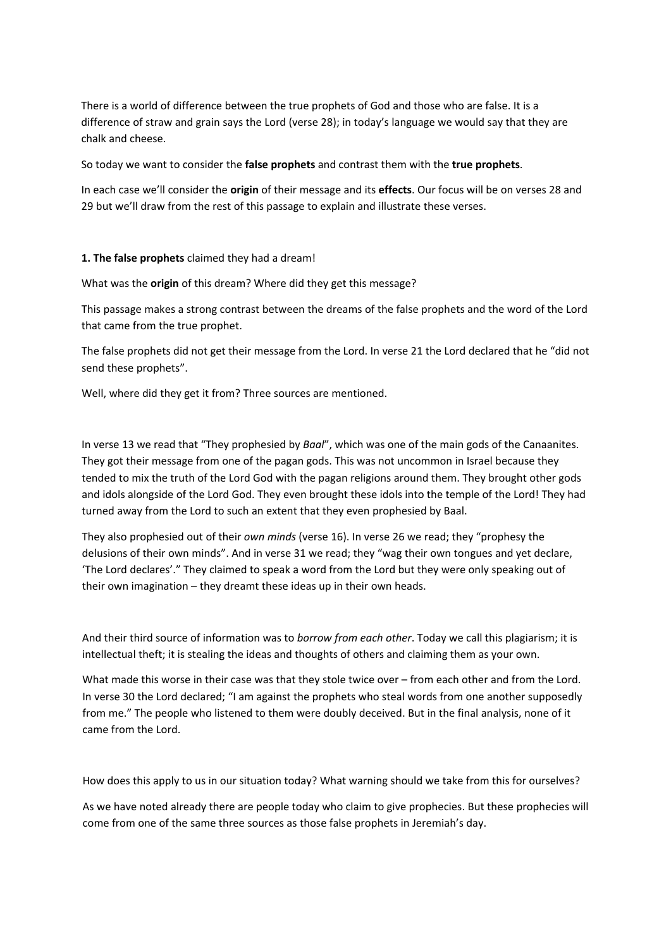There is a world of difference between the true prophets of God and those who are false. It is a difference of straw and grain says the Lord (verse 28); in today's language we would say that they are chalk and cheese.

So today we want to consider the **false prophets** and contrast them with the **true prophets**.

In each case we'll consider the **origin** of their message and its **effects**. Our focus will be on verses 28 and 29 but we'll draw from the rest of this passage to explain and illustrate these verses.

#### **1. The false prophets** claimed they had a dream!

What was the **origin** of this dream? Where did they get this message?

This passage makes a strong contrast between the dreams of the false prophets and the word of the Lord that came from the true prophet.

The false prophets did not get their message from the Lord. In verse 21 the Lord declared that he "did not send these prophets".

Well, where did they get it from? Three sources are mentioned.

In verse 13 we read that "They prophesied by *Baal*", which was one of the main gods of the Canaanites. They got their message from one of the pagan gods. This was not uncommon in Israel because they tended to mix the truth of the Lord God with the pagan religions around them. They brought other gods and idols alongside of the Lord God. They even brought these idols into the temple of the Lord! They had turned away from the Lord to such an extent that they even prophesied by Baal.

They also prophesied out of their *own minds* (verse 16). In verse 26 we read; they "prophesy the delusions of their own minds". And in verse 31 we read; they "wag their own tongues and yet declare, 'The Lord declares'." They claimed to speak a word from the Lord but they were only speaking out of their own imagination – they dreamt these ideas up in their own heads.

And their third source of information was to *borrow from each other*. Today we call this plagiarism; it is intellectual theft; it is stealing the ideas and thoughts of others and claiming them as your own.

What made this worse in their case was that they stole twice over – from each other and from the Lord. In verse 30 the Lord declared; "I am against the prophets who steal words from one another supposedly from me." The people who listened to them were doubly deceived. But in the final analysis, none of it came from the Lord.

How does this apply to us in our situation today? What warning should we take from this for ourselves?

As we have noted already there are people today who claim to give prophecies. But these prophecies will come from one of the same three sources as those false prophets in Jeremiah's day.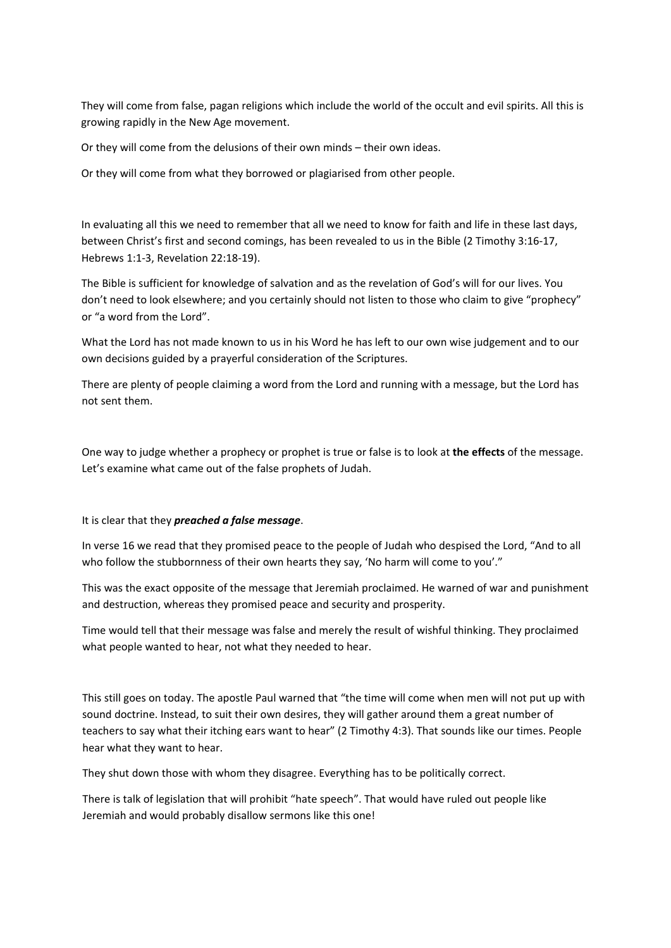They will come from false, pagan religions which include the world of the occult and evil spirits. All this is growing rapidly in the New Age movement.

Or they will come from the delusions of their own minds – their own ideas.

Or they will come from what they borrowed or plagiarised from other people.

In evaluating all this we need to remember that all we need to know for faith and life in these last days, between Christ's first and second comings, has been revealed to us in the Bible (2 Timothy 3:16‐17, Hebrews 1:1‐3, Revelation 22:18‐19).

The Bible is sufficient for knowledge of salvation and as the revelation of God's will for our lives. You don't need to look elsewhere; and you certainly should not listen to those who claim to give "prophecy" or "a word from the Lord".

What the Lord has not made known to us in his Word he has left to our own wise judgement and to our own decisions guided by a prayerful consideration of the Scriptures.

There are plenty of people claiming a word from the Lord and running with a message, but the Lord has not sent them.

One way to judge whether a prophecy or prophet is true or false is to look at **the effects** of the message. Let's examine what came out of the false prophets of Judah.

It is clear that they *preached a false message*.

In verse 16 we read that they promised peace to the people of Judah who despised the Lord, "And to all who follow the stubbornness of their own hearts they say, 'No harm will come to you'."

This was the exact opposite of the message that Jeremiah proclaimed. He warned of war and punishment and destruction, whereas they promised peace and security and prosperity.

Time would tell that their message was false and merely the result of wishful thinking. They proclaimed what people wanted to hear, not what they needed to hear.

This still goes on today. The apostle Paul warned that "the time will come when men will not put up with sound doctrine. Instead, to suit their own desires, they will gather around them a great number of teachers to say what their itching ears want to hear" (2 Timothy 4:3). That sounds like our times. People hear what they want to hear.

They shut down those with whom they disagree. Everything has to be politically correct.

There is talk of legislation that will prohibit "hate speech". That would have ruled out people like Jeremiah and would probably disallow sermons like this one!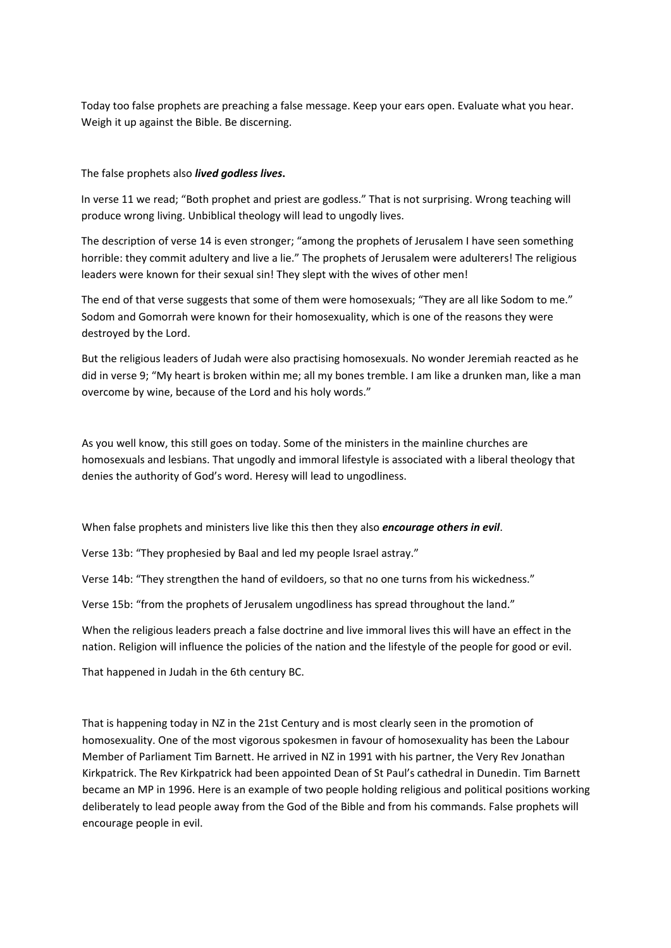Today too false prophets are preaching a false message. Keep your ears open. Evaluate what you hear. Weigh it up against the Bible. Be discerning.

### The false prophets also *lived godless lives***.**

In verse 11 we read; "Both prophet and priest are godless." That is not surprising. Wrong teaching will produce wrong living. Unbiblical theology will lead to ungodly lives.

The description of verse 14 is even stronger; "among the prophets of Jerusalem I have seen something horrible: they commit adultery and live a lie." The prophets of Jerusalem were adulterers! The religious leaders were known for their sexual sin! They slept with the wives of other men!

The end of that verse suggests that some of them were homosexuals; "They are all like Sodom to me." Sodom and Gomorrah were known for their homosexuality, which is one of the reasons they were destroyed by the Lord.

But the religious leaders of Judah were also practising homosexuals. No wonder Jeremiah reacted as he did in verse 9; "My heart is broken within me; all my bones tremble. I am like a drunken man, like a man overcome by wine, because of the Lord and his holy words."

As you well know, this still goes on today. Some of the ministers in the mainline churches are homosexuals and lesbians. That ungodly and immoral lifestyle is associated with a liberal theology that denies the authority of God's word. Heresy will lead to ungodliness.

When false prophets and ministers live like this then they also *encourage others in evil*.

Verse 13b: "They prophesied by Baal and led my people Israel astray."

Verse 14b: "They strengthen the hand of evildoers, so that no one turns from his wickedness."

Verse 15b: "from the prophets of Jerusalem ungodliness has spread throughout the land."

When the religious leaders preach a false doctrine and live immoral lives this will have an effect in the nation. Religion will influence the policies of the nation and the lifestyle of the people for good or evil.

That happened in Judah in the 6th century BC.

That is happening today in NZ in the 21st Century and is most clearly seen in the promotion of homosexuality. One of the most vigorous spokesmen in favour of homosexuality has been the Labour Member of Parliament Tim Barnett. He arrived in NZ in 1991 with his partner, the Very Rev Jonathan Kirkpatrick. The Rev Kirkpatrick had been appointed Dean of St Paul's cathedral in Dunedin. Tim Barnett became an MP in 1996. Here is an example of two people holding religious and political positions working deliberately to lead people away from the God of the Bible and from his commands. False prophets will encourage people in evil.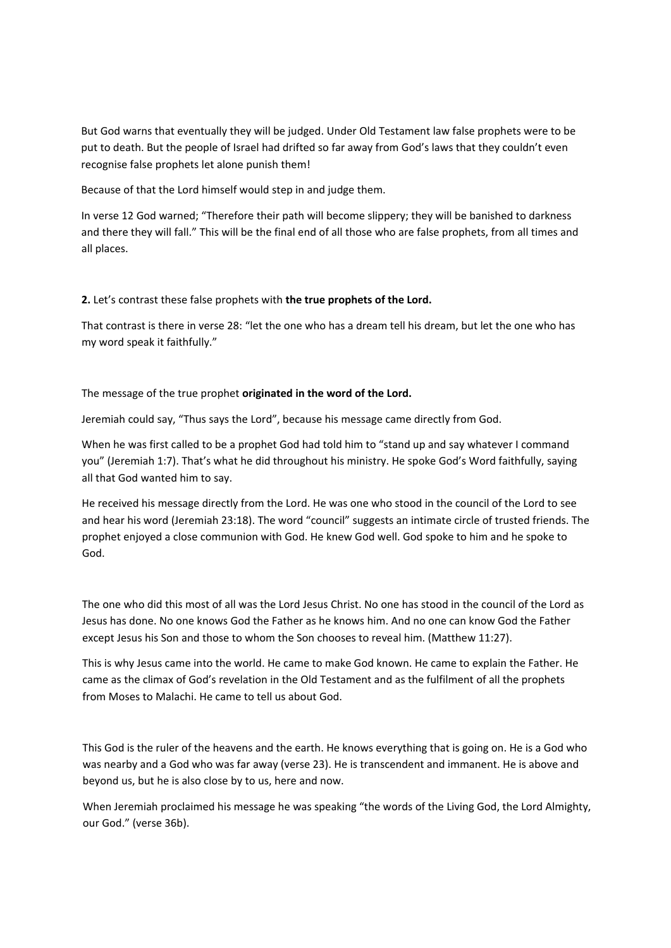But God warns that eventually they will be judged. Under Old Testament law false prophets were to be put to death. But the people of Israel had drifted so far away from God's laws that they couldn't even recognise false prophets let alone punish them!

Because of that the Lord himself would step in and judge them.

In verse 12 God warned; "Therefore their path will become slippery; they will be banished to darkness and there they will fall." This will be the final end of all those who are false prophets, from all times and all places.

## **2.** Let's contrast these false prophets with **the true prophets of the Lord.**

That contrast is there in verse 28: "let the one who has a dream tell his dream, but let the one who has my word speak it faithfully."

## The message of the true prophet **originated in the word of the Lord.**

Jeremiah could say, "Thus says the Lord", because his message came directly from God.

When he was first called to be a prophet God had told him to "stand up and say whatever I command you" (Jeremiah 1:7). That's what he did throughout his ministry. He spoke God's Word faithfully, saying all that God wanted him to say.

He received his message directly from the Lord. He was one who stood in the council of the Lord to see and hear his word (Jeremiah 23:18). The word "council" suggests an intimate circle of trusted friends. The prophet enjoyed a close communion with God. He knew God well. God spoke to him and he spoke to God.

The one who did this most of all was the Lord Jesus Christ. No one has stood in the council of the Lord as Jesus has done. No one knows God the Father as he knows him. And no one can know God the Father except Jesus his Son and those to whom the Son chooses to reveal him. (Matthew 11:27).

This is why Jesus came into the world. He came to make God known. He came to explain the Father. He came as the climax of God's revelation in the Old Testament and as the fulfilment of all the prophets from Moses to Malachi. He came to tell us about God.

This God is the ruler of the heavens and the earth. He knows everything that is going on. He is a God who was nearby and a God who was far away (verse 23). He is transcendent and immanent. He is above and beyond us, but he is also close by to us, here and now.

When Jeremiah proclaimed his message he was speaking "the words of the Living God, the Lord Almighty, our God." (verse 36b).